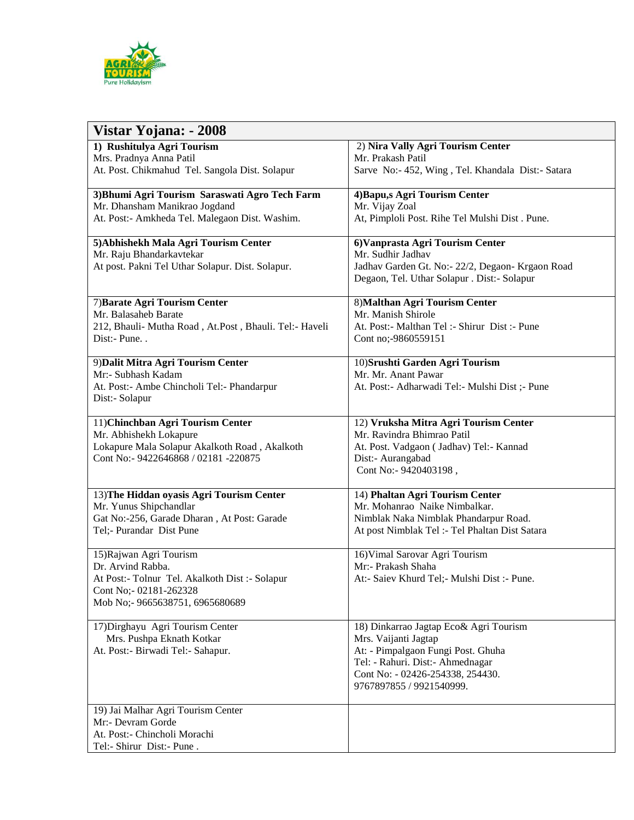

| Vistar Yojana: - 2008                                  |                                                                                                 |
|--------------------------------------------------------|-------------------------------------------------------------------------------------------------|
| 1) Rushitulya Agri Tourism                             | 2) Nira Vally Agri Tourism Center                                                               |
| Mrs. Pradnya Anna Patil                                | Mr. Prakash Patil                                                                               |
| At. Post. Chikmahud Tel. Sangola Dist. Solapur         | Sarve No:- 452, Wing, Tel. Khandala Dist:- Satara                                               |
| 3) Bhumi Agri Tourism Saraswati Agro Tech Farm         | 4) Bapu, s Agri Tourism Center                                                                  |
| Mr. Dhansham Manikrao Jogdand                          | Mr. Vijay Zoal                                                                                  |
| At. Post:- Amkheda Tel. Malegaon Dist. Washim.         | At, Pimploli Post. Rihe Tel Mulshi Dist. Pune.                                                  |
| 5) Abhishekh Mala Agri Tourism Center                  | 6) Vanprasta Agri Tourism Center                                                                |
| Mr. Raju Bhandarkavtekar                               | Mr. Sudhir Jadhav                                                                               |
| At post. Pakni Tel Uthar Solapur. Dist. Solapur.       | Jadhav Garden Gt. No:- 22/2, Degaon- Krgaon Road<br>Degaon, Tel. Uthar Solapur . Dist:- Solapur |
| 7) Barate Agri Tourism Center                          | 8) Malthan Agri Tourism Center                                                                  |
| Mr. Balasaheb Barate                                   | Mr. Manish Shirole                                                                              |
| 212, Bhauli- Mutha Road, At.Post, Bhauli. Tel:- Haveli | At. Post:- Malthan Tel: - Shirur Dist: - Pune                                                   |
| Dist:- Pune                                            | Cont no;-9860559151                                                                             |
| 9) Dalit Mitra Agri Tourism Center                     | 10) Srushti Garden Agri Tourism                                                                 |
| Mr:- Subhash Kadam                                     | Mr. Mr. Anant Pawar                                                                             |
| At. Post:- Ambe Chincholi Tel:- Phandarpur             | At. Post:- Adharwadi Tel:- Mulshi Dist ;- Pune                                                  |
| Dist:- Solapur                                         |                                                                                                 |
| 11) Chinchban Agri Tourism Center                      | 12) Vruksha Mitra Agri Tourism Center                                                           |
| Mr. Abhishekh Lokapure                                 | Mr. Ravindra Bhimrao Patil                                                                      |
| Lokapure Mala Solapur Akalkoth Road, Akalkoth          | At. Post. Vadgaon (Jadhav) Tel:- Kannad                                                         |
| Cont No:- 9422646868 / 02181 -220875                   | Dist:- Aurangabad                                                                               |
|                                                        | Cont No:- 9420403198,                                                                           |
| 13) The Hiddan oyasis Agri Tourism Center              | 14) Phaltan Agri Tourism Center                                                                 |
| Mr. Yunus Shipchandlar                                 | Mr. Mohanrao Naike Nimbalkar.                                                                   |
| Gat No:-256, Garade Dharan, At Post: Garade            | Nimblak Naka Nimblak Phandarpur Road.                                                           |
| Tel;- Purandar Dist Pune                               | At post Nimblak Tel :- Tel Phaltan Dist Satara                                                  |
| 15) Rajwan Agri Tourism                                | 16) Vimal Sarovar Agri Tourism                                                                  |
| Dr. Arvind Rabba.                                      | Mr:- Prakash Shaha                                                                              |
| At Post:- Tolnur Tel. Akalkoth Dist :- Solapur         | At:- Saiev Khurd Tel;- Mulshi Dist :- Pune.                                                     |
| Cont No;- 02181-262328                                 |                                                                                                 |
| Mob No;- 9665638751, 6965680689                        |                                                                                                 |
| 17) Dirghayu Agri Tourism Center                       | 18) Dinkarrao Jagtap Eco& Agri Tourism                                                          |
| Mrs. Pushpa Eknath Kotkar                              | Mrs. Vaijanti Jagtap                                                                            |
| At. Post:- Birwadi Tel:- Sahapur.                      | At: - Pimpalgaon Fungi Post. Ghuha                                                              |
|                                                        | Tel: - Rahuri. Dist: - Ahmednagar                                                               |
|                                                        | Cont No: - 02426-254338, 254430.                                                                |
|                                                        | 9767897855 / 9921540999.                                                                        |
| 19) Jai Malhar Agri Tourism Center                     |                                                                                                 |
| Mr:- Devram Gorde                                      |                                                                                                 |
| At. Post:- Chincholi Morachi                           |                                                                                                 |
| Tel:- Shirur Dist:- Pune.                              |                                                                                                 |